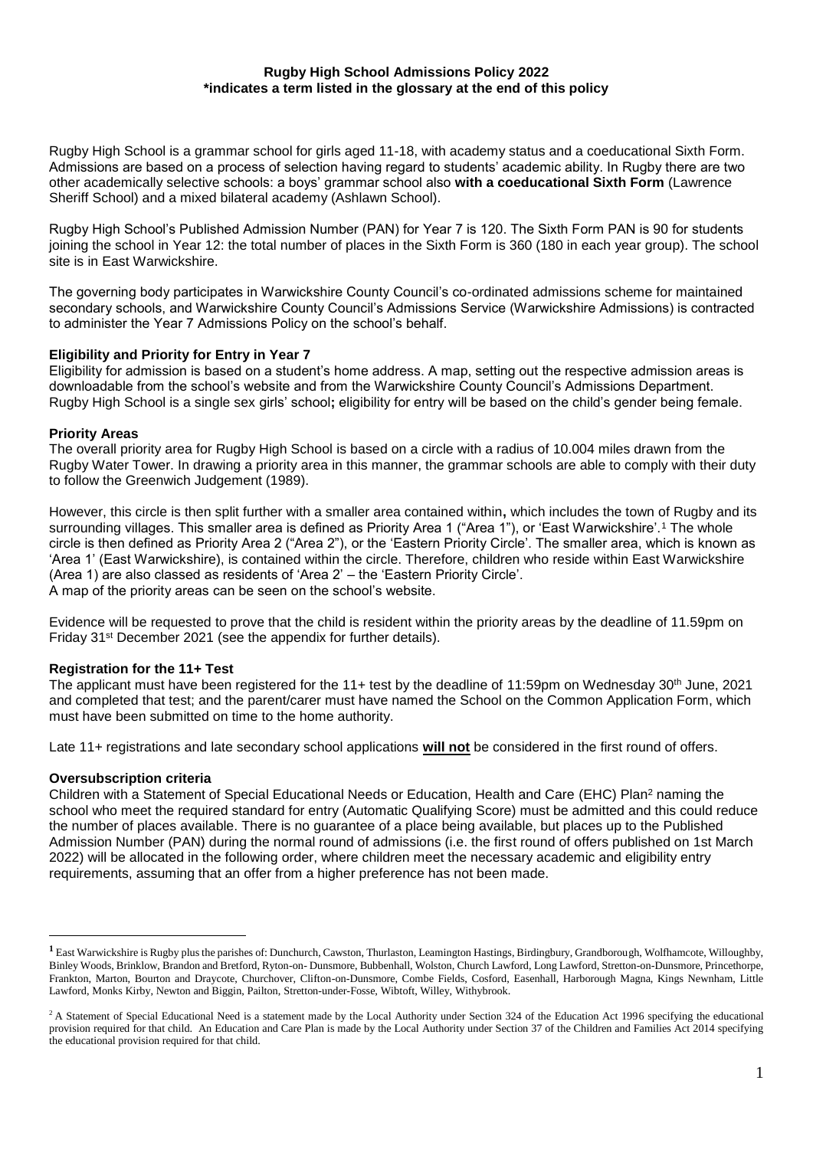#### **Rugby High School Admissions Policy 2022 \*indicates a term listed in the glossary at the end of this policy**

Rugby High School is a grammar school for girls aged 11-18, with academy status and a coeducational Sixth Form. Admissions are based on a process of selection having regard to students' academic ability. In Rugby there are two other academically selective schools: a boys' grammar school also **with a coeducational Sixth Form** (Lawrence Sheriff School) and a mixed bilateral academy (Ashlawn School).

Rugby High School's Published Admission Number (PAN) for Year 7 is 120. The Sixth Form PAN is 90 for students joining the school in Year 12: the total number of places in the Sixth Form is 360 (180 in each year group). The school site is in East Warwickshire.

The governing body participates in Warwickshire County Council's co-ordinated admissions scheme for maintained secondary schools, and Warwickshire County Council's Admissions Service (Warwickshire Admissions) is contracted to administer the Year 7 Admissions Policy on the school's behalf.

## **Eligibility and Priority for Entry in Year 7**

Eligibility for admission is based on a student's home address. A map, setting out the respective admission areas is downloadable from the school's website and from the Warwickshire County Council's Admissions Department. Rugby High School is a single sex girls' school**;** eligibility for entry will be based on the child's gender being female.

#### **Priority Areas**

The overall priority area for Rugby High School is based on a circle with a radius of 10.004 miles drawn from the Rugby Water Tower. In drawing a priority area in this manner, the grammar schools are able to comply with their duty to follow the Greenwich Judgement (1989).

However, this circle is then split further with a smaller area contained within**,** which includes the town of Rugby and its surrounding villages. This smaller area is defined as Priority Area 1 ("Area 1"), or 'East Warwickshire'.<sup>1</sup> The whole circle is then defined as Priority Area 2 ("Area 2"), or the 'Eastern Priority Circle'. The smaller area, which is known as 'Area 1' (East Warwickshire), is contained within the circle. Therefore, children who reside within East Warwickshire (Area 1) are also classed as residents of 'Area 2' – the 'Eastern Priority Circle'. A map of the priority areas can be seen on the school's website.

Evidence will be requested to prove that the child is resident within the priority areas by the deadline of 11.59pm on Friday 31<sup>st</sup> December 2021 (see the appendix for further details).

## **Registration for the 11+ Test**

The applicant must have been registered for the 11+ test by the deadline of 11:59pm on Wednesday 30<sup>th</sup> June, 2021 and completed that test; and the parent/carer must have named the School on the Common Application Form, which must have been submitted on time to the home authority.

Late 11+ registrations and late secondary school applications **will not** be considered in the first round of offers.

#### **Oversubscription criteria**

1

Children with a Statement of Special Educational Needs or Education, Health and Care (EHC) Plan<sup>2</sup> naming the school who meet the required standard for entry (Automatic Qualifying Score) must be admitted and this could reduce the number of places available. There is no guarantee of a place being available, but places up to the Published Admission Number (PAN) during the normal round of admissions (i.e. the first round of offers published on 1st March 2022) will be allocated in the following order, where children meet the necessary academic and eligibility entry requirements, assuming that an offer from a higher preference has not been made.

**<sup>1</sup>** East Warwickshire is Rugby plus the parishes of: Dunchurch, Cawston, Thurlaston, Leamington Hastings, Birdingbury, Grandborough, Wolfhamcote, Willoughby, Binley Woods, Brinklow, Brandon and Bretford, Ryton-on- Dunsmore, Bubbenhall, Wolston, Church Lawford, Long Lawford, Stretton-on-Dunsmore, Princethorpe, Frankton, Marton, Bourton and Draycote, Churchover, Clifton-on-Dunsmore, Combe Fields, Cosford, Easenhall, Harborough Magna, Kings Newnham, Little Lawford, Monks Kirby, Newton and Biggin, Pailton, Stretton-under-Fosse, Wibtoft, Willey, Withybrook.

<sup>&</sup>lt;sup>2</sup>A Statement of Special Educational Need is a statement made by the Local Authority under Section 324 of the Education Act 1996 specifying the educational provision required for that child. An Education and Care Plan is made by the Local Authority under Section 37 of the Children and Families Act 2014 specifying the educational provision required for that child.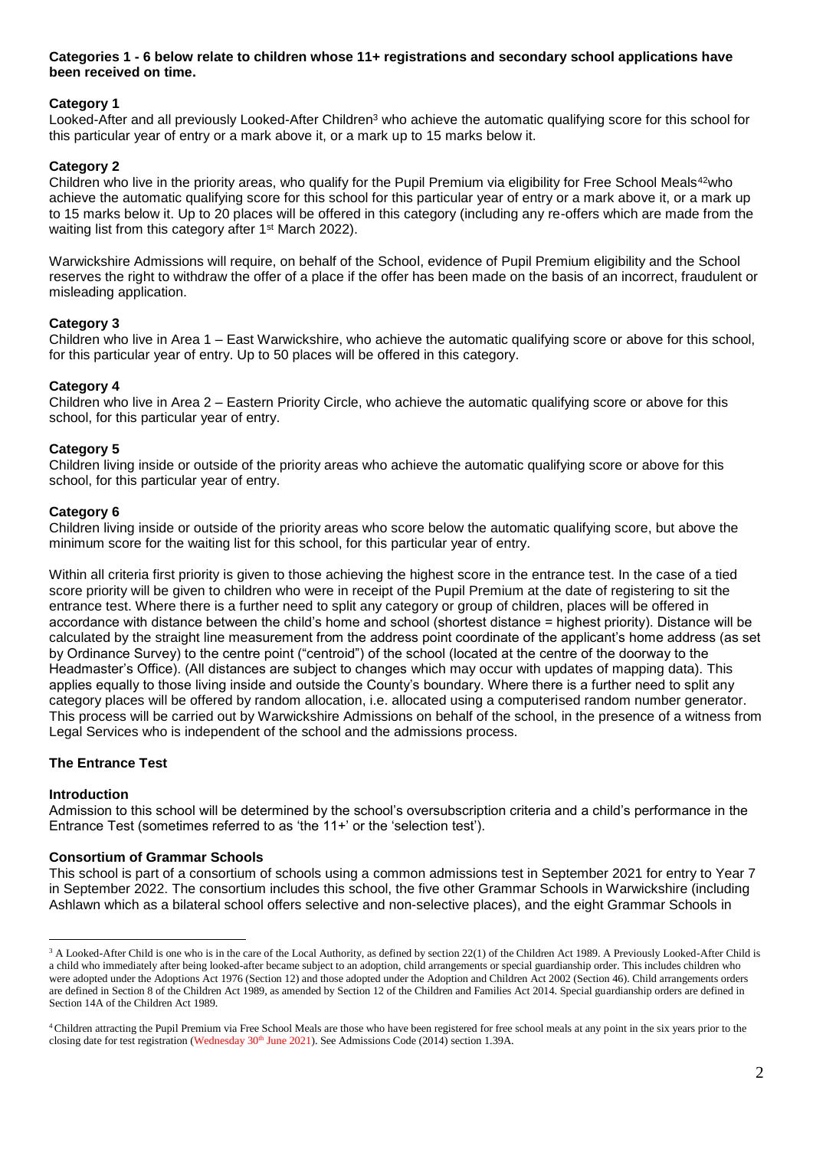## **Categories 1 - 6 below relate to children whose 11+ registrations and secondary school applications have been received on time.**

# **Category 1**

Looked-After and all previously Looked-After Children<sup>3</sup> who achieve the automatic qualifying score for this school for this particular year of entry or a mark above it, or a mark up to 15 marks below it.

# **Category 2**

Children who live in the priority areas, who qualify for the Pupil Premium via eligibility for Free School Meals<sup>42</sup>who achieve the automatic qualifying score for this school for this particular year of entry or a mark above it, or a mark up to 15 marks below it. Up to 20 places will be offered in this category (including any re-offers which are made from the waiting list from this category after 1<sup>st</sup> March 2022).

Warwickshire Admissions will require, on behalf of the School, evidence of Pupil Premium eligibility and the School reserves the right to withdraw the offer of a place if the offer has been made on the basis of an incorrect, fraudulent or misleading application.

## **Category 3**

Children who live in Area 1 – East Warwickshire, who achieve the automatic qualifying score or above for this school, for this particular year of entry. Up to 50 places will be offered in this category.

## **Category 4**

Children who live in Area 2 – Eastern Priority Circle, who achieve the automatic qualifying score or above for this school, for this particular year of entry.

### **Category 5**

Children living inside or outside of the priority areas who achieve the automatic qualifying score or above for this school, for this particular year of entry.

#### **Category 6**

Children living inside or outside of the priority areas who score below the automatic qualifying score, but above the minimum score for the waiting list for this school, for this particular year of entry.

Within all criteria first priority is given to those achieving the highest score in the entrance test. In the case of a tied score priority will be given to children who were in receipt of the Pupil Premium at the date of registering to sit the entrance test. Where there is a further need to split any category or group of children, places will be offered in accordance with distance between the child's home and school (shortest distance = highest priority). Distance will be calculated by the straight line measurement from the address point coordinate of the applicant's home address (as set by Ordinance Survey) to the centre point ("centroid") of the school (located at the centre of the doorway to the Headmaster's Office). (All distances are subject to changes which may occur with updates of mapping data). This applies equally to those living inside and outside the County's boundary. Where there is a further need to split any category places will be offered by random allocation, i.e. allocated using a computerised random number generator. This process will be carried out by Warwickshire Admissions on behalf of the school, in the presence of a witness from Legal Services who is independent of the school and the admissions process.

## **The Entrance Test**

#### **Introduction**

1

Admission to this school will be determined by the school's oversubscription criteria and a child's performance in the Entrance Test (sometimes referred to as 'the 11+' or the 'selection test').

#### **Consortium of Grammar Schools**

This school is part of a consortium of schools using a common admissions test in September 2021 for entry to Year 7 in September 2022. The consortium includes this school, the five other Grammar Schools in Warwickshire (including Ashlawn which as a bilateral school offers selective and non-selective places), and the eight Grammar Schools in

<sup>&</sup>lt;sup>3</sup> A Looked-After Child is one who is in the care of the Local Authority, as defined by section 22(1) of the Children Act 1989. A Previously Looked-After Child is a child who immediately after being looked-after became subject to an adoption, child arrangements or special guardianship order. This includes children who were adopted under the Adoptions Act 1976 (Section 12) and those adopted under the Adoption and Children Act 2002 (Section 46). Child arrangements orders are defined in Section 8 of the Children Act 1989, as amended by Section 12 of the Children and Families Act 2014. Special guardianship orders are defined in Section 14A of the Children Act 1989.

<sup>4</sup>Children attracting the Pupil Premium via Free School Meals are those who have been registered for free school meals at any point in the six years prior to the closing date for test registration (Wednesday  $30<sup>th</sup>$  June 2021). See Admissions Code (2014) section 1.39A.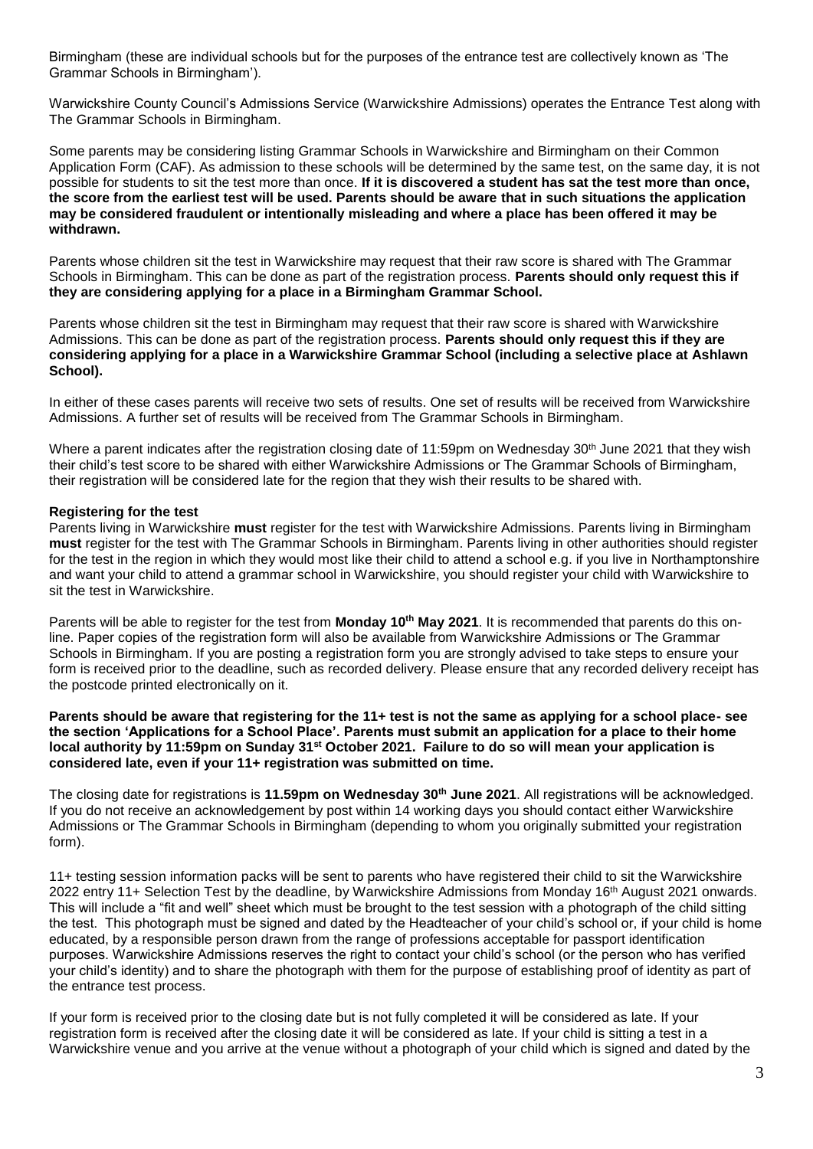Birmingham (these are individual schools but for the purposes of the entrance test are collectively known as 'The Grammar Schools in Birmingham').

Warwickshire County Council's Admissions Service (Warwickshire Admissions) operates the Entrance Test along with The Grammar Schools in Birmingham.

Some parents may be considering listing Grammar Schools in Warwickshire and Birmingham on their Common Application Form (CAF). As admission to these schools will be determined by the same test, on the same day, it is not possible for students to sit the test more than once. **If it is discovered a student has sat the test more than once, the score from the earliest test will be used. Parents should be aware that in such situations the application may be considered fraudulent or intentionally misleading and where a place has been offered it may be withdrawn.**

Parents whose children sit the test in Warwickshire may request that their raw score is shared with The Grammar Schools in Birmingham. This can be done as part of the registration process. **Parents should only request this if they are considering applying for a place in a Birmingham Grammar School.** 

Parents whose children sit the test in Birmingham may request that their raw score is shared with Warwickshire Admissions. This can be done as part of the registration process. **Parents should only request this if they are considering applying for a place in a Warwickshire Grammar School (including a selective place at Ashlawn School).**

In either of these cases parents will receive two sets of results. One set of results will be received from Warwickshire Admissions. A further set of results will be received from The Grammar Schools in Birmingham.

Where a parent indicates after the registration closing date of 11:59pm on Wednesday 30<sup>th</sup> June 2021 that they wish their child's test score to be shared with either Warwickshire Admissions or The Grammar Schools of Birmingham, their registration will be considered late for the region that they wish their results to be shared with.

#### **Registering for the test**

Parents living in Warwickshire **must** register for the test with Warwickshire Admissions. Parents living in Birmingham **must** register for the test with The Grammar Schools in Birmingham. Parents living in other authorities should register for the test in the region in which they would most like their child to attend a school e.g. if you live in Northamptonshire and want your child to attend a grammar school in Warwickshire, you should register your child with Warwickshire to sit the test in Warwickshire.

Parents will be able to register for the test from **Monday 10th May 2021**. It is recommended that parents do this online. Paper copies of the registration form will also be available from Warwickshire Admissions or The Grammar Schools in Birmingham. If you are posting a registration form you are strongly advised to take steps to ensure your form is received prior to the deadline, such as recorded delivery. Please ensure that any recorded delivery receipt has the postcode printed electronically on it.

**Parents should be aware that registering for the 11+ test is not the same as applying for a school place- see the section 'Applications for a School Place'. Parents must submit an application for a place to their home local authority by 11:59pm on Sunday 31st October 2021. Failure to do so will mean your application is considered late, even if your 11+ registration was submitted on time.**

The closing date for registrations is **11.59pm on Wednesday 30th June 2021**. All registrations will be acknowledged. If you do not receive an acknowledgement by post within 14 working days you should contact either Warwickshire Admissions or The Grammar Schools in Birmingham (depending to whom you originally submitted your registration form).

11+ testing session information packs will be sent to parents who have registered their child to sit the Warwickshire 2022 entry 11+ Selection Test by the deadline, by Warwickshire Admissions from Monday 16th August 2021 onwards. This will include a "fit and well" sheet which must be brought to the test session with a photograph of the child sitting the test. This photograph must be signed and dated by the Headteacher of your child's school or, if your child is home educated, by a responsible person drawn from the range of professions acceptable for passport identification purposes. Warwickshire Admissions reserves the right to contact your child's school (or the person who has verified your child's identity) and to share the photograph with them for the purpose of establishing proof of identity as part of the entrance test process.

If your form is received prior to the closing date but is not fully completed it will be considered as late. If your registration form is received after the closing date it will be considered as late. If your child is sitting a test in a Warwickshire venue and you arrive at the venue without a photograph of your child which is signed and dated by the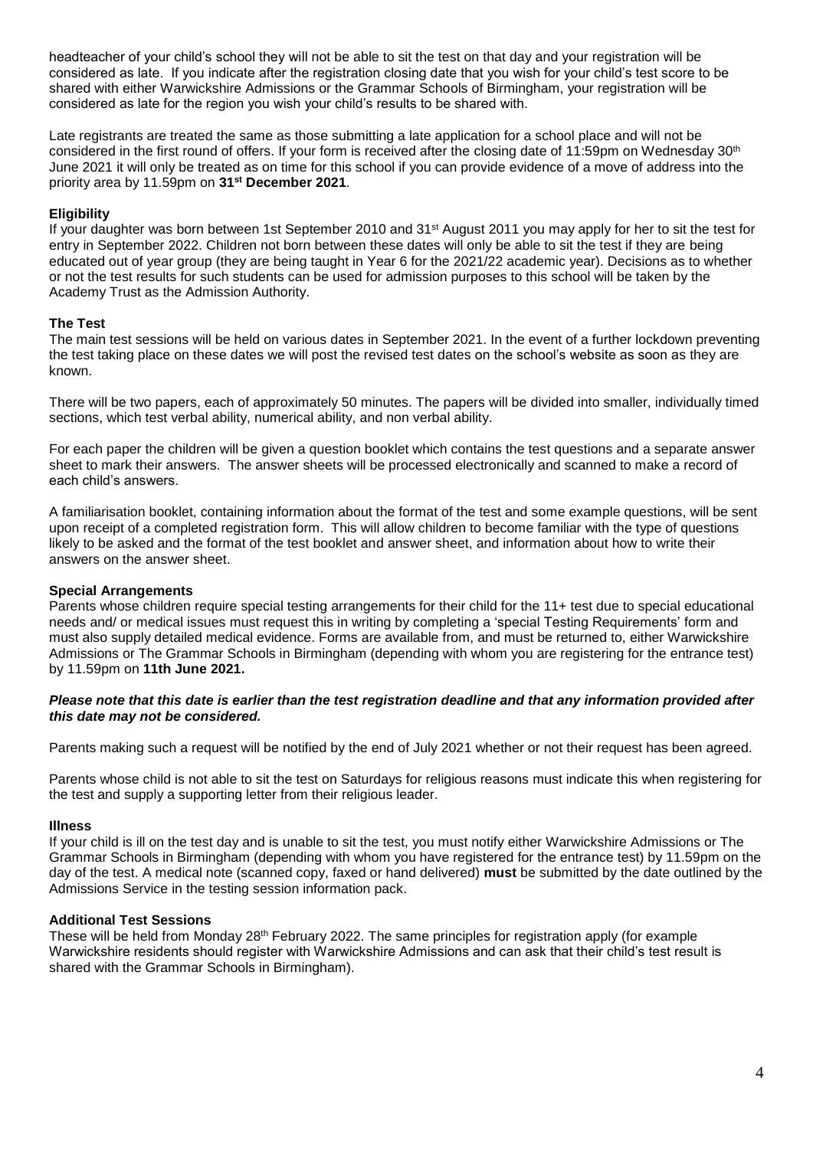headteacher of your child's school they will not be able to sit the test on that day and your registration will be considered as late. If you indicate after the registration closing date that you wish for your child's test score to be shared with either Warwickshire Admissions or the Grammar Schools of Birmingham, your registration will be considered as late for the region you wish your child's results to be shared with.

Late registrants are treated the same as those submitting a late application for a school place and will not be considered in the first round of offers. If your form is received after the closing date of 11:59pm on Wednesday 30<sup>th</sup> June 2021 it will only be treated as on time for this school if you can provide evidence of a move of address into the priority area by 11.59pm on **31 st December 2021**.

### **Eligibility**

If your daughter was born between 1st September 2010 and 31st August 2011 you may apply for her to sit the test for entry in September 2022. Children not born between these dates will only be able to sit the test if they are being educated out of year group (they are being taught in Year 6 for the 2021/22 academic year). Decisions as to whether or not the test results for such students can be used for admission purposes to this school will be taken by the Academy Trust as the Admission Authority.

#### **The Test**

The main test sessions will be held on various dates in September 2021. In the event of a further lockdown preventing the test taking place on these dates we will post the revised test dates on the school's website as soon as they are known.

There will be two papers, each of approximately 50 minutes. The papers will be divided into smaller, individually timed sections, which test verbal ability, numerical ability, and non verbal ability.

For each paper the children will be given a question booklet which contains the test questions and a separate answer sheet to mark their answers. The answer sheets will be processed electronically and scanned to make a record of each child's answers.

A familiarisation booklet, containing information about the format of the test and some example questions, will be sent upon receipt of a completed registration form. This will allow children to become familiar with the type of questions likely to be asked and the format of the test booklet and answer sheet, and information about how to write their answers on the answer sheet.

## **Special Arrangements**

Parents whose children require special testing arrangements for their child for the 11+ test due to special educational needs and/ or medical issues must request this in writing by completing a 'special Testing Requirements' form and must also supply detailed medical evidence. Forms are available from, and must be returned to, either Warwickshire Admissions or The Grammar Schools in Birmingham (depending with whom you are registering for the entrance test) by 11.59pm on **11th June 2021.**

#### *Please note that this date is earlier than the test registration deadline and that any information provided after this date may not be considered.*

Parents making such a request will be notified by the end of July 2021 whether or not their request has been agreed.

Parents whose child is not able to sit the test on Saturdays for religious reasons must indicate this when registering for the test and supply a supporting letter from their religious leader.

#### **Illness**

If your child is ill on the test day and is unable to sit the test, you must notify either Warwickshire Admissions or The Grammar Schools in Birmingham (depending with whom you have registered for the entrance test) by 11.59pm on the day of the test. A medical note (scanned copy, faxed or hand delivered) **must** be submitted by the date outlined by the Admissions Service in the testing session information pack.

#### **Additional Test Sessions**

These will be held from Monday 28<sup>th</sup> February 2022. The same principles for registration apply (for example Warwickshire residents should register with Warwickshire Admissions and can ask that their child's test result is shared with the Grammar Schools in Birmingham).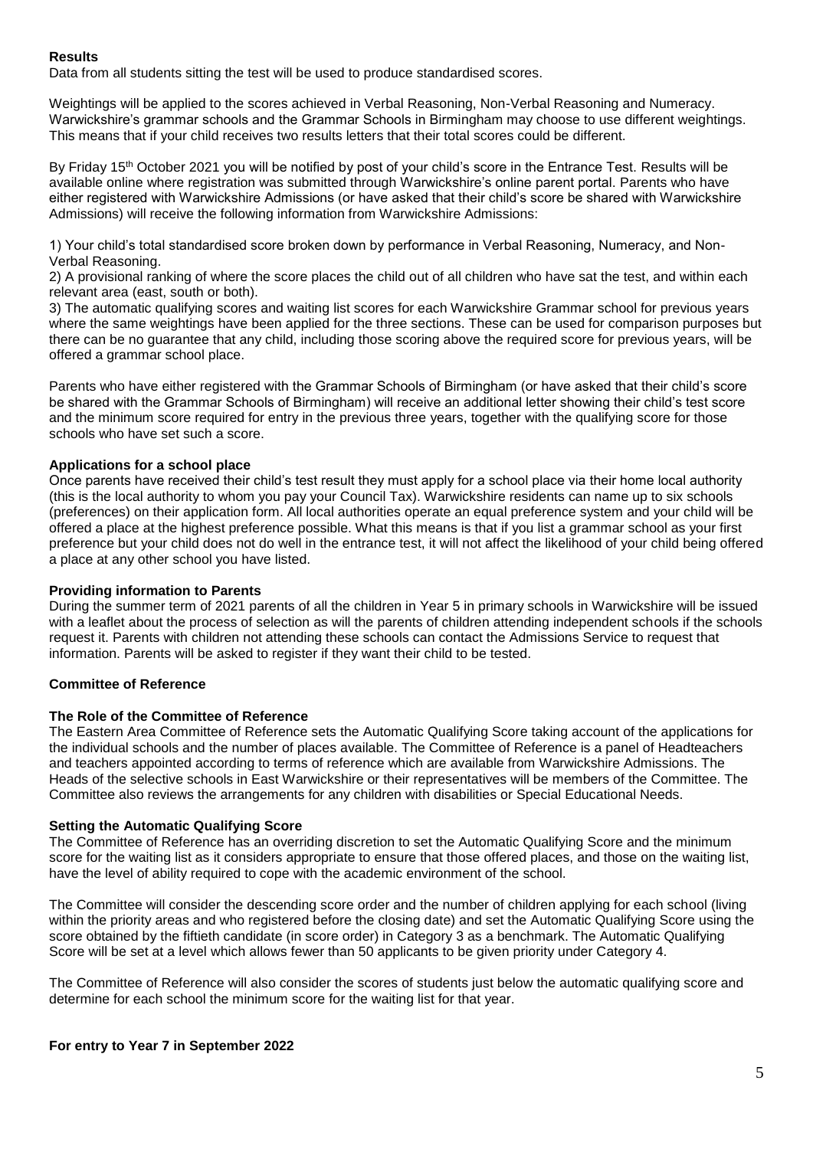### **Results**

Data from all students sitting the test will be used to produce standardised scores.

Weightings will be applied to the scores achieved in Verbal Reasoning, Non-Verbal Reasoning and Numeracy. Warwickshire's grammar schools and the Grammar Schools in Birmingham may choose to use different weightings. This means that if your child receives two results letters that their total scores could be different.

By Friday 15<sup>th</sup> October 2021 you will be notified by post of your child's score in the Entrance Test. Results will be available online where registration was submitted through Warwickshire's online parent portal. Parents who have either registered with Warwickshire Admissions (or have asked that their child's score be shared with Warwickshire Admissions) will receive the following information from Warwickshire Admissions:

1) Your child's total standardised score broken down by performance in Verbal Reasoning, Numeracy, and Non-Verbal Reasoning.

2) A provisional ranking of where the score places the child out of all children who have sat the test, and within each relevant area (east, south or both).

3) The automatic qualifying scores and waiting list scores for each Warwickshire Grammar school for previous years where the same weightings have been applied for the three sections. These can be used for comparison purposes but there can be no guarantee that any child, including those scoring above the required score for previous years, will be offered a grammar school place.

Parents who have either registered with the Grammar Schools of Birmingham (or have asked that their child's score be shared with the Grammar Schools of Birmingham) will receive an additional letter showing their child's test score and the minimum score required for entry in the previous three years, together with the qualifying score for those schools who have set such a score.

## **Applications for a school place**

Once parents have received their child's test result they must apply for a school place via their home local authority (this is the local authority to whom you pay your Council Tax). Warwickshire residents can name up to six schools (preferences) on their application form. All local authorities operate an equal preference system and your child will be offered a place at the highest preference possible. What this means is that if you list a grammar school as your first preference but your child does not do well in the entrance test, it will not affect the likelihood of your child being offered a place at any other school you have listed.

## **Providing information to Parents**

During the summer term of 2021 parents of all the children in Year 5 in primary schools in Warwickshire will be issued with a leaflet about the process of selection as will the parents of children attending independent schools if the schools request it. Parents with children not attending these schools can contact the Admissions Service to request that information. Parents will be asked to register if they want their child to be tested.

#### **Committee of Reference**

#### **The Role of the Committee of Reference**

The Eastern Area Committee of Reference sets the Automatic Qualifying Score taking account of the applications for the individual schools and the number of places available. The Committee of Reference is a panel of Headteachers and teachers appointed according to terms of reference which are available from Warwickshire Admissions. The Heads of the selective schools in East Warwickshire or their representatives will be members of the Committee. The Committee also reviews the arrangements for any children with disabilities or Special Educational Needs.

#### **Setting the Automatic Qualifying Score**

The Committee of Reference has an overriding discretion to set the Automatic Qualifying Score and the minimum score for the waiting list as it considers appropriate to ensure that those offered places, and those on the waiting list, have the level of ability required to cope with the academic environment of the school.

The Committee will consider the descending score order and the number of children applying for each school (living within the priority areas and who registered before the closing date) and set the Automatic Qualifying Score using the score obtained by the fiftieth candidate (in score order) in Category 3 as a benchmark. The Automatic Qualifying Score will be set at a level which allows fewer than 50 applicants to be given priority under Category 4.

The Committee of Reference will also consider the scores of students just below the automatic qualifying score and determine for each school the minimum score for the waiting list for that year.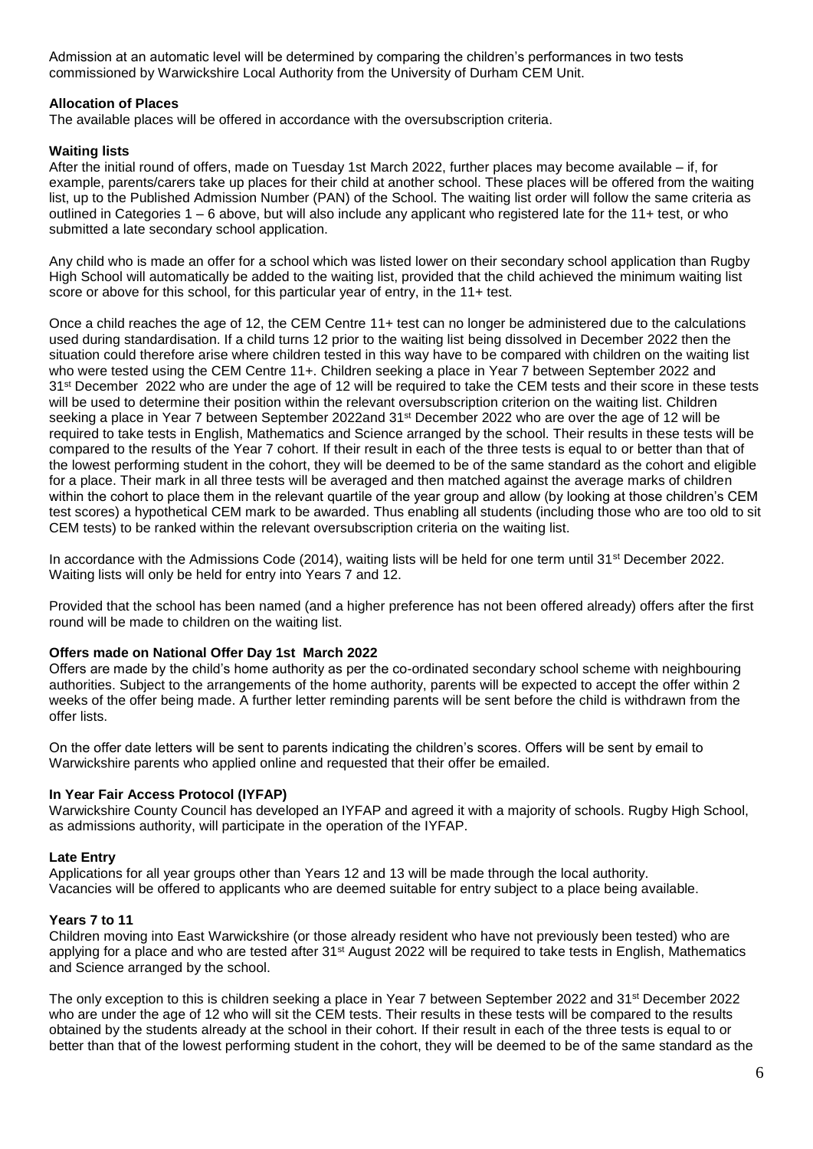Admission at an automatic level will be determined by comparing the children's performances in two tests commissioned by Warwickshire Local Authority from the University of Durham CEM Unit.

## **Allocation of Places**

The available places will be offered in accordance with the oversubscription criteria.

## **Waiting lists**

After the initial round of offers, made on Tuesday 1st March 2022, further places may become available – if, for example, parents/carers take up places for their child at another school. These places will be offered from the waiting list, up to the Published Admission Number (PAN) of the School. The waiting list order will follow the same criteria as outlined in Categories 1 – 6 above, but will also include any applicant who registered late for the 11+ test, or who submitted a late secondary school application.

Any child who is made an offer for a school which was listed lower on their secondary school application than Rugby High School will automatically be added to the waiting list, provided that the child achieved the minimum waiting list score or above for this school, for this particular year of entry, in the 11+ test.

Once a child reaches the age of 12, the CEM Centre 11+ test can no longer be administered due to the calculations used during standardisation. If a child turns 12 prior to the waiting list being dissolved in December 2022 then the situation could therefore arise where children tested in this way have to be compared with children on the waiting list who were tested using the CEM Centre 11+. Children seeking a place in Year 7 between September 2022 and 31<sup>st</sup> December 2022 who are under the age of 12 will be required to take the CEM tests and their score in these tests will be used to determine their position within the relevant oversubscription criterion on the waiting list. Children seeking a place in Year 7 between September 2022and 31<sup>st</sup> December 2022 who are over the age of 12 will be required to take tests in English, Mathematics and Science arranged by the school. Their results in these tests will be compared to the results of the Year 7 cohort. If their result in each of the three tests is equal to or better than that of the lowest performing student in the cohort, they will be deemed to be of the same standard as the cohort and eligible for a place. Their mark in all three tests will be averaged and then matched against the average marks of children within the cohort to place them in the relevant quartile of the year group and allow (by looking at those children's CEM test scores) a hypothetical CEM mark to be awarded. Thus enabling all students (including those who are too old to sit CEM tests) to be ranked within the relevant oversubscription criteria on the waiting list.

In accordance with the Admissions Code (2014), waiting lists will be held for one term until 31<sup>st</sup> December 2022. Waiting lists will only be held for entry into Years 7 and 12.

Provided that the school has been named (and a higher preference has not been offered already) offers after the first round will be made to children on the waiting list.

## **Offers made on National Offer Day 1st March 2022**

Offers are made by the child's home authority as per the co-ordinated secondary school scheme with neighbouring authorities. Subject to the arrangements of the home authority, parents will be expected to accept the offer within 2 weeks of the offer being made. A further letter reminding parents will be sent before the child is withdrawn from the offer lists.

On the offer date letters will be sent to parents indicating the children's scores. Offers will be sent by email to Warwickshire parents who applied online and requested that their offer be emailed.

## **In Year Fair Access Protocol (IYFAP)**

Warwickshire County Council has developed an IYFAP and agreed it with a majority of schools. Rugby High School, as admissions authority, will participate in the operation of the IYFAP.

## **Late Entry**

Applications for all year groups other than Years 12 and 13 will be made through the local authority. Vacancies will be offered to applicants who are deemed suitable for entry subject to a place being available.

#### **Years 7 to 11**

Children moving into East Warwickshire (or those already resident who have not previously been tested) who are applying for a place and who are tested after 31<sup>st</sup> August 2022 will be required to take tests in English, Mathematics and Science arranged by the school.

The only exception to this is children seeking a place in Year 7 between September 2022 and 31st December 2022 who are under the age of 12 who will sit the CEM tests. Their results in these tests will be compared to the results obtained by the students already at the school in their cohort. If their result in each of the three tests is equal to or better than that of the lowest performing student in the cohort, they will be deemed to be of the same standard as the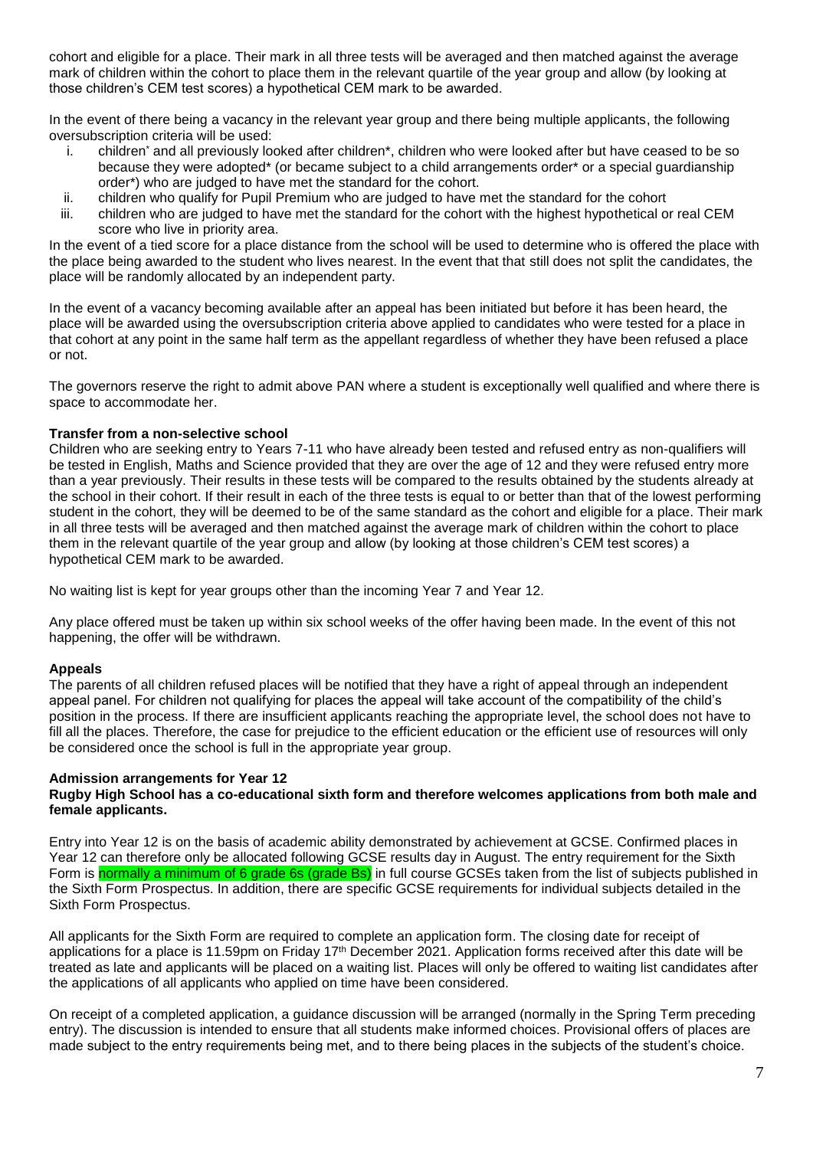cohort and eligible for a place. Their mark in all three tests will be averaged and then matched against the average mark of children within the cohort to place them in the relevant quartile of the year group and allow (by looking at those children's CEM test scores) a hypothetical CEM mark to be awarded.

In the event of there being a vacancy in the relevant year group and there being multiple applicants, the following oversubscription criteria will be used:

- i. children<sup>\*</sup> and all previously looked after children<sup>\*</sup>, children who were looked after but have ceased to be so because they were adopted\* (or became subject to a child arrangements order\* or a special guardianship order\*) who are judged to have met the standard for the cohort.
- ii. children who qualify for Pupil Premium who are judged to have met the standard for the cohort
- iii. children who are judged to have met the standard for the cohort with the highest hypothetical or real CEM score who live in priority area.

In the event of a tied score for a place distance from the school will be used to determine who is offered the place with the place being awarded to the student who lives nearest. In the event that that still does not split the candidates, the place will be randomly allocated by an independent party.

In the event of a vacancy becoming available after an appeal has been initiated but before it has been heard, the place will be awarded using the oversubscription criteria above applied to candidates who were tested for a place in that cohort at any point in the same half term as the appellant regardless of whether they have been refused a place or not.

The governors reserve the right to admit above PAN where a student is exceptionally well qualified and where there is space to accommodate her.

## **Transfer from a non-selective school**

Children who are seeking entry to Years 7-11 who have already been tested and refused entry as non-qualifiers will be tested in English, Maths and Science provided that they are over the age of 12 and they were refused entry more than a year previously. Their results in these tests will be compared to the results obtained by the students already at the school in their cohort. If their result in each of the three tests is equal to or better than that of the lowest performing student in the cohort, they will be deemed to be of the same standard as the cohort and eligible for a place. Their mark in all three tests will be averaged and then matched against the average mark of children within the cohort to place them in the relevant quartile of the year group and allow (by looking at those children's CEM test scores) a hypothetical CEM mark to be awarded.

No waiting list is kept for year groups other than the incoming Year 7 and Year 12.

Any place offered must be taken up within six school weeks of the offer having been made. In the event of this not happening, the offer will be withdrawn.

## **Appeals**

The parents of all children refused places will be notified that they have a right of appeal through an independent appeal panel. For children not qualifying for places the appeal will take account of the compatibility of the child's position in the process. If there are insufficient applicants reaching the appropriate level, the school does not have to fill all the places. Therefore, the case for prejudice to the efficient education or the efficient use of resources will only be considered once the school is full in the appropriate year group.

## **Admission arrangements for Year 12**

#### **Rugby High School has a co-educational sixth form and therefore welcomes applications from both male and female applicants.**

Entry into Year 12 is on the basis of academic ability demonstrated by achievement at GCSE. Confirmed places in Year 12 can therefore only be allocated following GCSE results day in August. The entry requirement for the Sixth Form is normally a minimum of 6 grade 6s (grade Bs) in full course GCSEs taken from the list of subjects published in the Sixth Form Prospectus. In addition, there are specific GCSE requirements for individual subjects detailed in the Sixth Form Prospectus.

All applicants for the Sixth Form are required to complete an application form. The closing date for receipt of applications for a place is 11.59pm on Friday 17<sup>th</sup> December 2021. Application forms received after this date will be treated as late and applicants will be placed on a waiting list. Places will only be offered to waiting list candidates after the applications of all applicants who applied on time have been considered.

On receipt of a completed application, a guidance discussion will be arranged (normally in the Spring Term preceding entry). The discussion is intended to ensure that all students make informed choices. Provisional offers of places are made subject to the entry requirements being met, and to there being places in the subjects of the student's choice.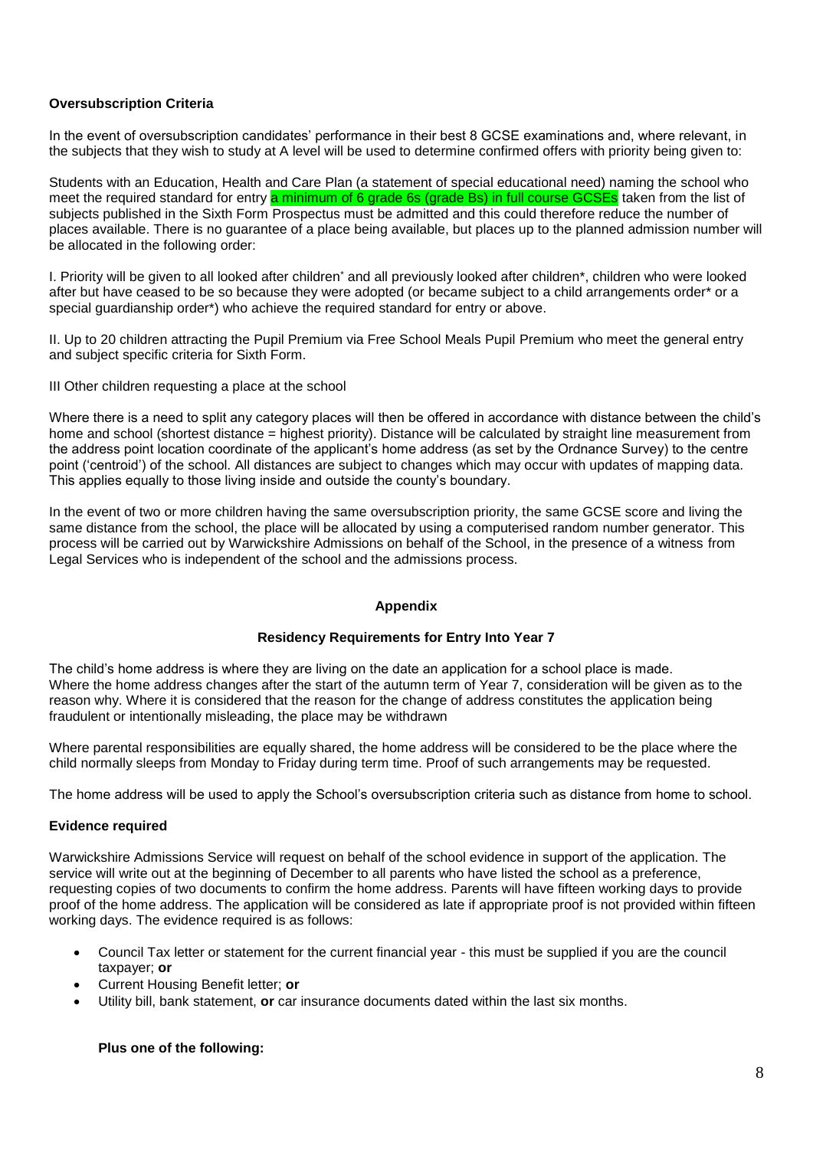## **Oversubscription Criteria**

In the event of oversubscription candidates' performance in their best 8 GCSE examinations and, where relevant, in the subjects that they wish to study at A level will be used to determine confirmed offers with priority being given to:

Students with an Education, Health and Care Plan (a statement of special educational need) naming the school who meet the required standard for entry a minimum of 6 grade 6s (grade Bs) in full course GCSEs taken from the list of subjects published in the Sixth Form Prospectus must be admitted and this could therefore reduce the number of places available. There is no guarantee of a place being available, but places up to the planned admission number will be allocated in the following order:

I. Priority will be given to all looked after children<sup>\*</sup> and all previously looked after children\*, children who were looked after but have ceased to be so because they were adopted (or became subject to a child arrangements order\* or a special guardianship order\*) who achieve the required standard for entry or above.

II. Up to 20 children attracting the Pupil Premium via Free School Meals Pupil Premium who meet the general entry and subject specific criteria for Sixth Form.

III Other children requesting a place at the school

Where there is a need to split any category places will then be offered in accordance with distance between the child's home and school (shortest distance = highest priority). Distance will be calculated by straight line measurement from the address point location coordinate of the applicant's home address (as set by the Ordnance Survey) to the centre point ('centroid') of the school. All distances are subject to changes which may occur with updates of mapping data. This applies equally to those living inside and outside the county's boundary.

In the event of two or more children having the same oversubscription priority, the same GCSE score and living the same distance from the school, the place will be allocated by using a computerised random number generator. This process will be carried out by Warwickshire Admissions on behalf of the School, in the presence of a witness from Legal Services who is independent of the school and the admissions process.

## **Appendix**

## **Residency Requirements for Entry Into Year 7**

The child's home address is where they are living on the date an application for a school place is made. Where the home address changes after the start of the autumn term of Year 7, consideration will be given as to the reason why. Where it is considered that the reason for the change of address constitutes the application being fraudulent or intentionally misleading, the place may be withdrawn

Where parental responsibilities are equally shared, the home address will be considered to be the place where the child normally sleeps from Monday to Friday during term time. Proof of such arrangements may be requested.

The home address will be used to apply the School's oversubscription criteria such as distance from home to school.

## **Evidence required**

Warwickshire Admissions Service will request on behalf of the school evidence in support of the application. The service will write out at the beginning of December to all parents who have listed the school as a preference, requesting copies of two documents to confirm the home address. Parents will have fifteen working days to provide proof of the home address. The application will be considered as late if appropriate proof is not provided within fifteen working days. The evidence required is as follows:

- Council Tax letter or statement for the current financial year this must be supplied if you are the council taxpayer; **or**
- Current Housing Benefit letter; **or**
- Utility bill, bank statement, **or** car insurance documents dated within the last six months.

## **Plus one of the following:**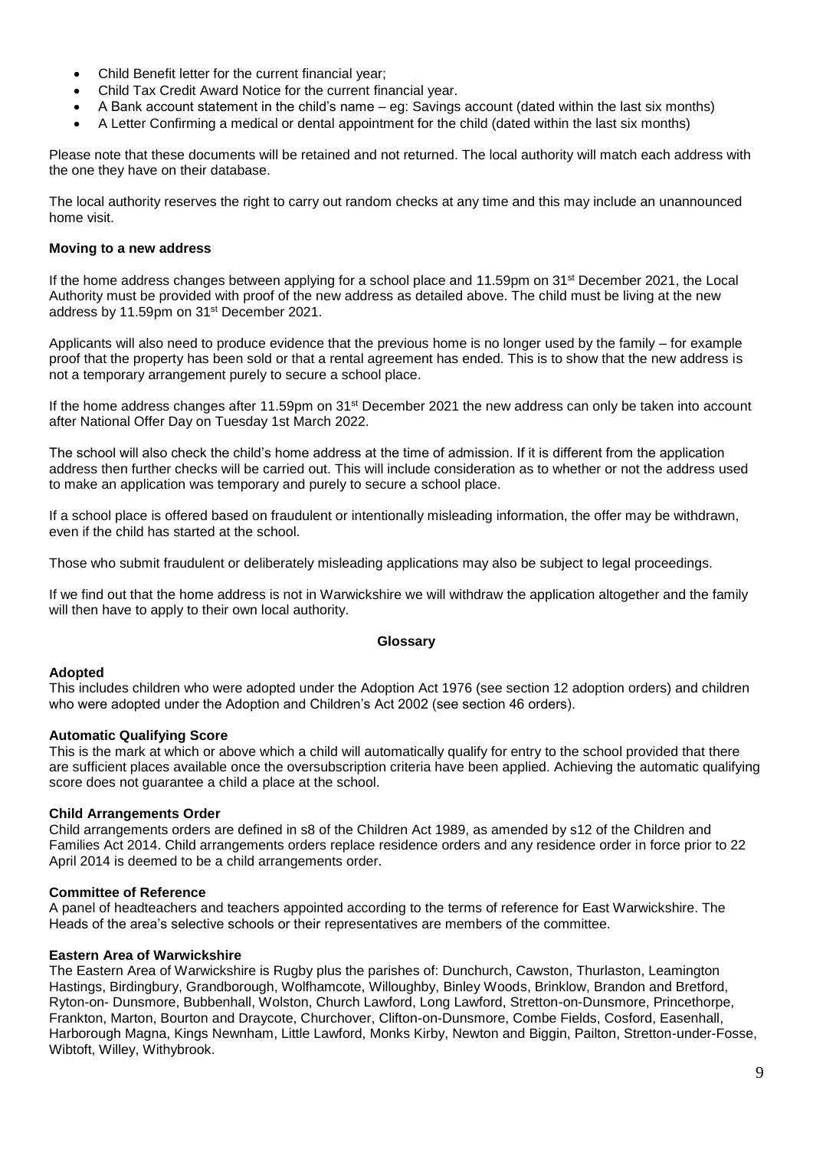- Child Benefit letter for the current financial year;
- Child Tax Credit Award Notice for the current financial year.
- A Bank account statement in the child's name eg: Savings account (dated within the last six months)
- A Letter Confirming a medical or dental appointment for the child (dated within the last six months)

Please note that these documents will be retained and not returned. The local authority will match each address with the one they have on their database.

The local authority reserves the right to carry out random checks at any time and this may include an unannounced home visit.

#### **Moving to a new address**

If the home address changes between applying for a school place and 11.59pm on 31st December 2021, the Local Authority must be provided with proof of the new address as detailed above. The child must be living at the new address by 11.59pm on 31st December 2021.

Applicants will also need to produce evidence that the previous home is no longer used by the family – for example proof that the property has been sold or that a rental agreement has ended. This is to show that the new address is not a temporary arrangement purely to secure a school place.

If the home address changes after 11.59pm on 31st December 2021 the new address can only be taken into account after National Offer Day on Tuesday 1st March 2022.

The school will also check the child's home address at the time of admission. If it is different from the application address then further checks will be carried out. This will include consideration as to whether or not the address used to make an application was temporary and purely to secure a school place.

If a school place is offered based on fraudulent or intentionally misleading information, the offer may be withdrawn, even if the child has started at the school.

Those who submit fraudulent or deliberately misleading applications may also be subject to legal proceedings.

If we find out that the home address is not in Warwickshire we will withdraw the application altogether and the family will then have to apply to their own local authority.

#### **Glossary**

#### **Adopted**

This includes children who were adopted under the Adoption Act 1976 (see section 12 adoption orders) and children who were adopted under the Adoption and Children's Act 2002 (see section 46 orders).

#### **Automatic Qualifying Score**

This is the mark at which or above which a child will automatically qualify for entry to the school provided that there are sufficient places available once the oversubscription criteria have been applied. Achieving the automatic qualifying score does not guarantee a child a place at the school.

#### **Child Arrangements Order**

Child arrangements orders are defined in s8 of the Children Act 1989, as amended by s12 of the Children and Families Act 2014. Child arrangements orders replace residence orders and any residence order in force prior to 22 April 2014 is deemed to be a child arrangements order.

#### **Committee of Reference**

A panel of headteachers and teachers appointed according to the terms of reference for East Warwickshire. The Heads of the area's selective schools or their representatives are members of the committee.

#### **Eastern Area of Warwickshire**

The Eastern Area of Warwickshire is Rugby plus the parishes of: Dunchurch, Cawston, Thurlaston, Leamington Hastings, Birdingbury, Grandborough, Wolfhamcote, Willoughby, Binley Woods, Brinklow, Brandon and Bretford, Ryton-on- Dunsmore, Bubbenhall, Wolston, Church Lawford, Long Lawford, Stretton-on-Dunsmore, Princethorpe, Frankton, Marton, Bourton and Draycote, Churchover, Clifton-on-Dunsmore, Combe Fields, Cosford, Easenhall, Harborough Magna, Kings Newnham, Little Lawford, Monks Kirby, Newton and Biggin, Pailton, Stretton-under-Fosse, Wibtoft, Willey, Withybrook.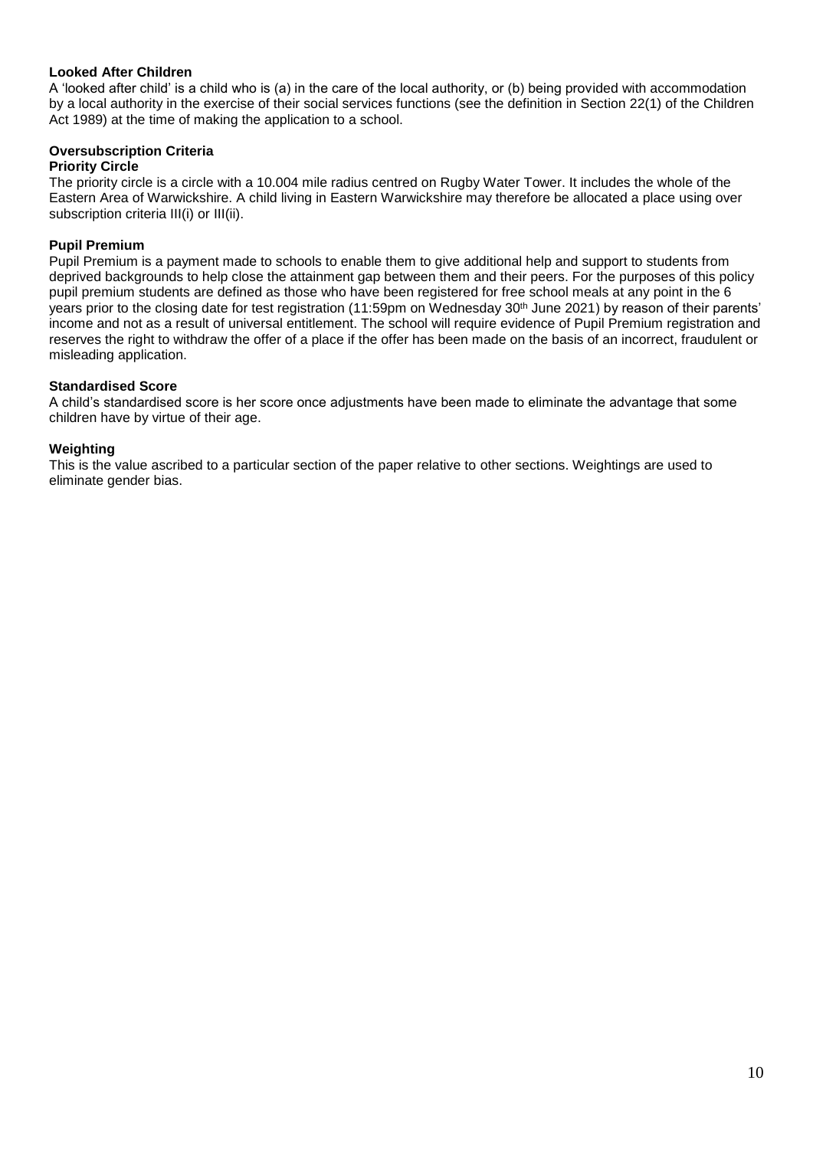## **Looked After Children**

A 'looked after child' is a child who is (a) in the care of the local authority, or (b) being provided with accommodation by a local authority in the exercise of their social services functions (see the definition in Section 22(1) of the Children Act 1989) at the time of making the application to a school.

# **Oversubscription Criteria**

### **Priority Circle**

The priority circle is a circle with a 10.004 mile radius centred on Rugby Water Tower. It includes the whole of the Eastern Area of Warwickshire. A child living in Eastern Warwickshire may therefore be allocated a place using over subscription criteria III(i) or III(ii).

### **Pupil Premium**

Pupil Premium is a payment made to schools to enable them to give additional help and support to students from deprived backgrounds to help close the attainment gap between them and their peers. For the purposes of this policy pupil premium students are defined as those who have been registered for free school meals at any point in the 6 years prior to the closing date for test registration (11:59pm on Wednesday 30<sup>th</sup> June 2021) by reason of their parents' income and not as a result of universal entitlement. The school will require evidence of Pupil Premium registration and reserves the right to withdraw the offer of a place if the offer has been made on the basis of an incorrect, fraudulent or misleading application.

#### **Standardised Score**

A child's standardised score is her score once adjustments have been made to eliminate the advantage that some children have by virtue of their age.

#### **Weighting**

This is the value ascribed to a particular section of the paper relative to other sections. Weightings are used to eliminate gender bias.